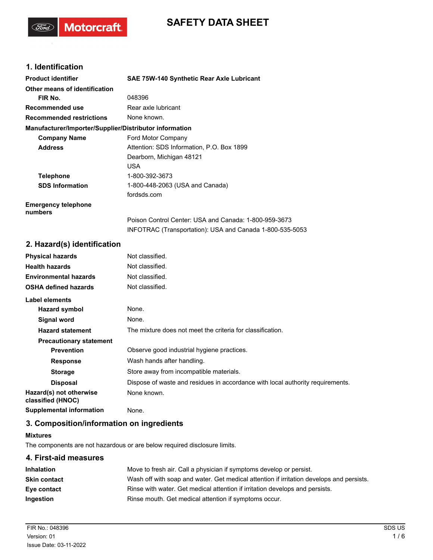# **SAFETY DATA SHEET**

### **1. Identification**

(Ford)

**Motorcraft** 

| <b>Product identifier</b>                              | SAE 75W-140 Synthetic Rear Axle Lubricant                                                                         |
|--------------------------------------------------------|-------------------------------------------------------------------------------------------------------------------|
| Other means of identification                          |                                                                                                                   |
| FIR No.                                                | 048396                                                                                                            |
| Recommended use                                        | Rear axle lubricant                                                                                               |
| <b>Recommended restrictions</b>                        | None known.                                                                                                       |
| Manufacturer/Importer/Supplier/Distributor information |                                                                                                                   |
| <b>Company Name</b>                                    | Ford Motor Company                                                                                                |
| <b>Address</b>                                         | Attention: SDS Information, P.O. Box 1899                                                                         |
|                                                        | Dearborn, Michigan 48121                                                                                          |
|                                                        | <b>USA</b>                                                                                                        |
| <b>Telephone</b>                                       | 1-800-392-3673                                                                                                    |
| <b>SDS Information</b>                                 | 1-800-448-2063 (USA and Canada)                                                                                   |
|                                                        | fordsds.com                                                                                                       |
| <b>Emergency telephone</b><br>numbers                  |                                                                                                                   |
|                                                        | Poison Control Center: USA and Canada: 1-800-959-3673<br>INFOTRAC (Transportation): USA and Canada 1-800-535-5053 |

### **2. Hazard(s) identification**

| <b>Physical hazards</b>                      | Not classified.                                                                |
|----------------------------------------------|--------------------------------------------------------------------------------|
| <b>Health hazards</b>                        | Not classified.                                                                |
| <b>Environmental hazards</b>                 | Not classified.                                                                |
| <b>OSHA defined hazards</b>                  | Not classified.                                                                |
| Label elements                               |                                                                                |
| Hazard symbol                                | None.                                                                          |
| <b>Signal word</b>                           | None.                                                                          |
| <b>Hazard statement</b>                      | The mixture does not meet the criteria for classification.                     |
| <b>Precautionary statement</b>               |                                                                                |
| <b>Prevention</b>                            | Observe good industrial hygiene practices.                                     |
| <b>Response</b>                              | Wash hands after handling.                                                     |
| <b>Storage</b>                               | Store away from incompatible materials.                                        |
| <b>Disposal</b>                              | Dispose of waste and residues in accordance with local authority requirements. |
| Hazard(s) not otherwise<br>classified (HNOC) | None known.                                                                    |
| <b>Supplemental information</b>              | None.                                                                          |

### **3. Composition/information on ingredients**

#### **Mixtures**

The components are not hazardous or are below required disclosure limits.

## **4. First-aid measures Inhalation** Move to fresh air. Call a physician if symptoms develop or persist. **Skin contact** Wash off with soap and water. Get medical attention if irritation develops and persists. **Eye contact** Rinse with water. Get medical attention if irritation develops and persists. **Ingestion** Rinse mouth. Get medical attention if symptoms occur.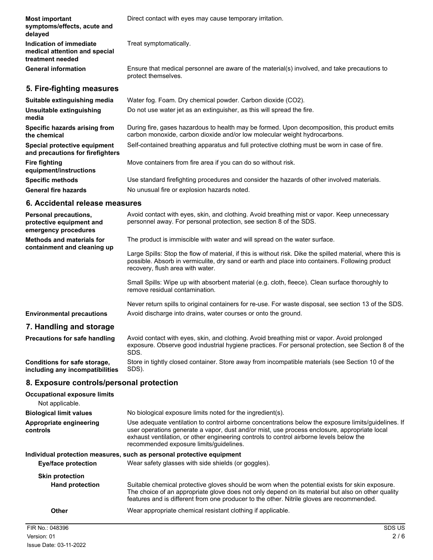| <b>Most important</b><br>symptoms/effects, acute and<br>delayed              | Direct contact with eyes may cause temporary irritation.                                                                                                                  |
|------------------------------------------------------------------------------|---------------------------------------------------------------------------------------------------------------------------------------------------------------------------|
| Indication of immediate<br>medical attention and special<br>treatment needed | Treat symptomatically.                                                                                                                                                    |
| <b>General information</b>                                                   | Ensure that medical personnel are aware of the material(s) involved, and take precautions to<br>protect themselves.                                                       |
| 5. Fire-fighting measures                                                    |                                                                                                                                                                           |
| Suitable extinguishing media                                                 | Water fog. Foam. Dry chemical powder. Carbon dioxide (CO2).                                                                                                               |
| Unsuitable extinguishing<br>media                                            | Do not use water jet as an extinguisher, as this will spread the fire.                                                                                                    |
| Specific hazards arising from<br>the chemical                                | During fire, gases hazardous to health may be formed. Upon decomposition, this product emits<br>carbon monoxide, carbon dioxide and/or low molecular weight hydrocarbons. |
| Special protective equipment<br>and precautions for firefighters             | Self-contained breathing apparatus and full protective clothing must be worn in case of fire.                                                                             |
| <b>Fire fighting</b><br>equipment/instructions                               | Move containers from fire area if you can do so without risk.                                                                                                             |
| <b>Specific methods</b>                                                      | Use standard firefighting procedures and consider the hazards of other involved materials.                                                                                |
| <b>General fire hazards</b>                                                  | No unusual fire or explosion hazards noted.                                                                                                                               |
| 6. Accidental release measures                                               |                                                                                                                                                                           |

| Personal precautions,<br>protective equipment and<br>emergency procedures | Avoid contact with eyes, skin, and clothing. Avoid breathing mist or vapor. Keep unnecessary<br>personnel away. For personal protection, see section 8 of the SDS.                                                                                |
|---------------------------------------------------------------------------|---------------------------------------------------------------------------------------------------------------------------------------------------------------------------------------------------------------------------------------------------|
| <b>Methods and materials for</b><br>containment and cleaning up           | The product is immiscible with water and will spread on the water surface.                                                                                                                                                                        |
|                                                                           | Large Spills: Stop the flow of material, if this is without risk. Dike the spilled material, where this is<br>possible. Absorb in vermiculite, dry sand or earth and place into containers. Following product<br>recovery, flush area with water. |
|                                                                           | Small Spills: Wipe up with absorbent material (e.g. cloth, fleece). Clean surface thoroughly to<br>remove residual contamination.                                                                                                                 |
|                                                                           | Never return spills to original containers for re-use. For waste disposal, see section 13 of the SDS.                                                                                                                                             |
| <b>Environmental precautions</b>                                          | Avoid discharge into drains, water courses or onto the ground.                                                                                                                                                                                    |
| 7. Handling and storage                                                   |                                                                                                                                                                                                                                                   |
| <b>Precautions for safe handling</b>                                      | Avoid contact with eyes, skin, and clothing. Avoid breathing mist or vapor. Avoid prolonged<br>exposure. Observe good industrial hygiene practices. For personal protection, see Section 8 of the<br>SDS.                                         |
| Conditions for safe storage,<br>including any incompatibilities           | Store in tightly closed container. Store away from incompatible materials (see Section 10 of the<br>SDS).                                                                                                                                         |

## **8. Exposure controls/personal protection**

| <b>Occupational exposure limits</b><br>Not applicable. |                                                                                                                                                                                                                                                                                                                                            |
|--------------------------------------------------------|--------------------------------------------------------------------------------------------------------------------------------------------------------------------------------------------------------------------------------------------------------------------------------------------------------------------------------------------|
| <b>Biological limit values</b>                         | No biological exposure limits noted for the ingredient(s).                                                                                                                                                                                                                                                                                 |
| Appropriate engineering<br>controls                    | Use adequate ventilation to control airborne concentrations below the exposure limits/quidelines. If<br>user operations generate a vapor, dust and/or mist, use process enclosure, appropriate local<br>exhaust ventilation, or other engineering controls to control airborne levels below the<br>recommended exposure limits/quidelines. |
|                                                        | Individual protection measures, such as personal protective equipment                                                                                                                                                                                                                                                                      |
| <b>Eye/face protection</b>                             | Wear safety glasses with side shields (or goggles).                                                                                                                                                                                                                                                                                        |
| <b>Skin protection</b>                                 |                                                                                                                                                                                                                                                                                                                                            |
| <b>Hand protection</b>                                 | Suitable chemical protective gloves should be worn when the potential exists for skin exposure.<br>The choice of an appropriate glove does not only depend on its material but also on other quality<br>features and is different from one producer to the other. Nitrile gloves are recommended.                                          |
| Other                                                  | Wear appropriate chemical resistant clothing if applicable.                                                                                                                                                                                                                                                                                |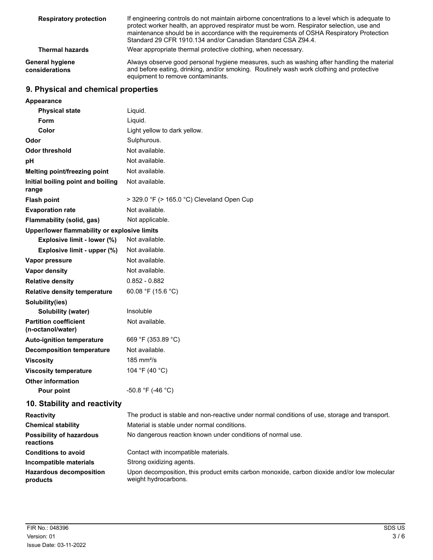| <b>Respiratory protection</b>     | If engineering controls do not maintain airborne concentrations to a level which is adequate to<br>protect worker health, an approved respirator must be worn. Respirator selection, use and<br>maintenance should be in accordance with the requirements of OSHA Respiratory Protection<br>Standard 29 CFR 1910.134 and/or Canadian Standard CSA Z94.4. |
|-----------------------------------|----------------------------------------------------------------------------------------------------------------------------------------------------------------------------------------------------------------------------------------------------------------------------------------------------------------------------------------------------------|
| <b>Thermal hazards</b>            | Wear appropriate thermal protective clothing, when necessary.                                                                                                                                                                                                                                                                                            |
| General hygiene<br>considerations | Always observe good personal hygiene measures, such as washing after handling the material<br>and before eating, drinking, and/or smoking. Routinely wash work clothing and protective<br>equipment to remove contaminants.                                                                                                                              |

## **9. Physical and chemical properties**

| Appearance                                        |                                            |
|---------------------------------------------------|--------------------------------------------|
| <b>Physical state</b>                             | Liquid.                                    |
| Form                                              | Liquid.                                    |
| Color                                             | Light yellow to dark yellow.               |
| Odor                                              | Sulphurous.                                |
| <b>Odor threshold</b>                             | Not available.                             |
| pH                                                | Not available.                             |
| Melting point/freezing point                      | Not available.                             |
| Initial boiling point and boiling<br>range        | Not available.                             |
| <b>Flash point</b>                                | > 329.0 °F (> 165.0 °C) Cleveland Open Cup |
| <b>Evaporation rate</b>                           | Not available.                             |
| Flammability (solid, gas)                         | Not applicable.                            |
| Upper/lower flammability or explosive limits      |                                            |
| Explosive limit - lower (%)                       | Not available.                             |
| Explosive limit - upper (%)                       | Not available.                             |
| Vapor pressure                                    | Not available.                             |
| <b>Vapor density</b>                              | Not available.                             |
| <b>Relative density</b>                           | $0.852 - 0.882$                            |
| <b>Relative density temperature</b>               | 60.08 °F (15.6 °C)                         |
| Solubility(ies)                                   |                                            |
| Solubility (water)                                | Insoluble                                  |
| <b>Partition coefficient</b><br>(n-octanol/water) | Not available.                             |
| <b>Auto-ignition temperature</b>                  | 669 °F (353.89 °C)                         |
| <b>Decomposition temperature</b>                  | Not available.                             |
| <b>Viscosity</b>                                  | $185 \text{ mm}^2/\text{s}$                |
| <b>Viscosity temperature</b>                      | 104 °F (40 °C)                             |
| <b>Other information</b>                          |                                            |
| Pour point                                        | -50.8 °F (-46 °C)                          |
| 10. Stability and reactivity                      |                                            |

| <b>Reactivity</b>                            | The product is stable and non-reactive under normal conditions of use, storage and transport.                       |
|----------------------------------------------|---------------------------------------------------------------------------------------------------------------------|
| <b>Chemical stability</b>                    | Material is stable under normal conditions.                                                                         |
| <b>Possibility of hazardous</b><br>reactions | No dangerous reaction known under conditions of normal use.                                                         |
| <b>Conditions to avoid</b>                   | Contact with incompatible materials.                                                                                |
| Incompatible materials                       | Strong oxidizing agents.                                                                                            |
| <b>Hazardous decomposition</b><br>products   | Upon decomposition, this product emits carbon monoxide, carbon dioxide and/or low molecular<br>weight hydrocarbons. |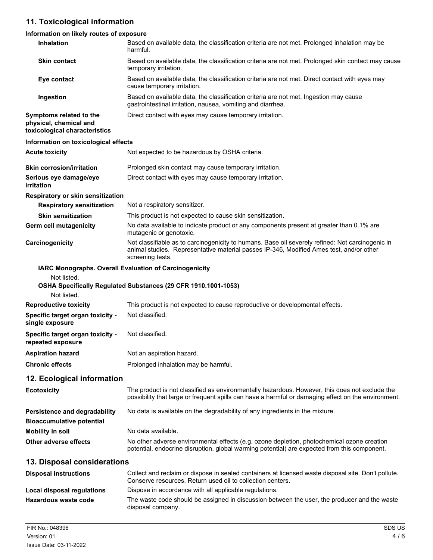# **11. Toxicological information**

## **Information on likely routes of exposure**

| Inhalation                                                                         | Based on available data, the classification criteria are not met. Prolonged inhalation may be<br>harmful.                                                                                                       |
|------------------------------------------------------------------------------------|-----------------------------------------------------------------------------------------------------------------------------------------------------------------------------------------------------------------|
| <b>Skin contact</b>                                                                | Based on available data, the classification criteria are not met. Prolonged skin contact may cause<br>temporary irritation.                                                                                     |
| Eye contact                                                                        | Based on available data, the classification criteria are not met. Direct contact with eyes may<br>cause temporary irritation.                                                                                   |
| Ingestion                                                                          | Based on available data, the classification criteria are not met. Ingestion may cause<br>gastrointestinal irritation, nausea, vomiting and diarrhea.                                                            |
| Symptoms related to the<br>physical, chemical and<br>toxicological characteristics | Direct contact with eyes may cause temporary irritation.                                                                                                                                                        |
| Information on toxicological effects                                               |                                                                                                                                                                                                                 |
| <b>Acute toxicity</b>                                                              | Not expected to be hazardous by OSHA criteria.                                                                                                                                                                  |
| <b>Skin corrosion/irritation</b>                                                   | Prolonged skin contact may cause temporary irritation.                                                                                                                                                          |
| Serious eye damage/eye<br>irritation                                               | Direct contact with eyes may cause temporary irritation.                                                                                                                                                        |
| Respiratory or skin sensitization                                                  |                                                                                                                                                                                                                 |
| <b>Respiratory sensitization</b>                                                   | Not a respiratory sensitizer.                                                                                                                                                                                   |
| <b>Skin sensitization</b>                                                          | This product is not expected to cause skin sensitization.                                                                                                                                                       |
| Germ cell mutagenicity                                                             | No data available to indicate product or any components present at greater than 0.1% are<br>mutagenic or genotoxic.                                                                                             |
| Carcinogenicity                                                                    | Not classifiable as to carcinogenicity to humans. Base oil severely refined: Not carcinogenic in<br>animal studies. Representative material passes IP-346, Modified Ames test, and/or other<br>screening tests. |
|                                                                                    | IARC Monographs. Overall Evaluation of Carcinogenicity                                                                                                                                                          |
| Not listed.                                                                        |                                                                                                                                                                                                                 |
| Not listed.                                                                        | OSHA Specifically Regulated Substances (29 CFR 1910.1001-1053)                                                                                                                                                  |
| <b>Reproductive toxicity</b>                                                       | This product is not expected to cause reproductive or developmental effects.                                                                                                                                    |
| Specific target organ toxicity -<br>single exposure                                | Not classified.                                                                                                                                                                                                 |
| Specific target organ toxicity -<br>repeated exposure                              | Not classified.                                                                                                                                                                                                 |
| <b>Aspiration hazard</b>                                                           | Not an aspiration hazard.                                                                                                                                                                                       |
| <b>Chronic effects</b>                                                             | Prolonged inhalation may be harmful.                                                                                                                                                                            |
| 12. Ecological information                                                         |                                                                                                                                                                                                                 |
| <b>Ecotoxicity</b>                                                                 | The product is not classified as environmentally hazardous. However, this does not exclude the<br>possibility that large or frequent spills can have a harmful or damaging effect on the environment.           |
| Persistence and degradability<br><b>Bioaccumulative potential</b>                  | No data is available on the degradability of any ingredients in the mixture.                                                                                                                                    |
| <b>Mobility in soil</b>                                                            | No data available.                                                                                                                                                                                              |
| Other adverse effects                                                              | No other adverse environmental effects (e.g. ozone depletion, photochemical ozone creation<br>potential, endocrine disruption, global warming potential) are expected from this component.                      |
| 13. Disposal considerations                                                        |                                                                                                                                                                                                                 |
| <b>Disposal instructions</b>                                                       | Collect and reclaim or dispose in sealed containers at licensed waste disposal site. Don't pollute.<br>Conserve resources. Return used oil to collection centers.                                               |
| Local disposal regulations                                                         | Dispose in accordance with all applicable regulations.                                                                                                                                                          |
| Hazardous waste code                                                               | The waste code should be assigned in discussion between the user, the producer and the waste<br>disposal company.                                                                                               |
|                                                                                    |                                                                                                                                                                                                                 |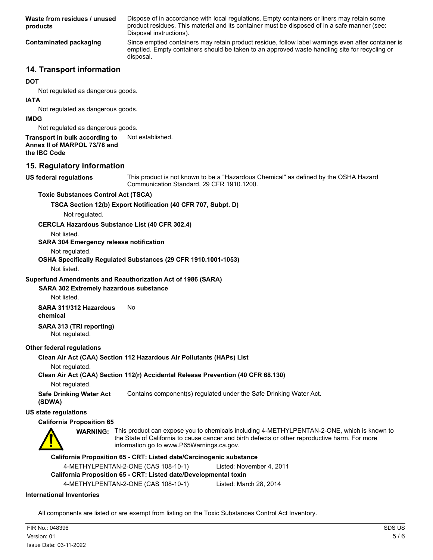Dispose of in accordance with local regulations. Empty containers or liners may retain some product residues. This material and its container must be disposed of in a safe manner (see: Disposal instructions). **Waste from residues / unused products** Since emptied containers may retain product residue, follow label warnings even after container is emptied. Empty containers should be taken to an approved waste handling site for recycling or disposal. **Contaminated packaging**

### **14. Transport information**

#### **DOT**

Not regulated as dangerous goods.

#### **IATA**

Not regulated as dangerous goods.

#### **IMDG**

Not regulated as dangerous goods.

### **Transport in bulk according to** Not established.

**Annex II of MARPOL 73/78 and**

**the IBC Code**

#### **15. Regulatory information**

**US federal regulations**

This product is not known to be a "Hazardous Chemical" as defined by the OSHA Hazard Communication Standard, 29 CFR 1910.1200.

#### **Toxic Substances Control Act (TSCA)**

#### **TSCA Section 12(b) Export Notification (40 CFR 707, Subpt. D)**

Not regulated.

#### **CERCLA Hazardous Substance List (40 CFR 302.4)**

Not listed.

#### **SARA 304 Emergency release notification**

Not regulated.

#### **OSHA Specifically Regulated Substances (29 CFR 1910.1001-1053)**

Not listed.

#### **Superfund Amendments and Reauthorization Act of 1986 (SARA)**

#### **SARA 302 Extremely hazardous substance**

Not listed.

#### **SARA 311/312 Hazardous** No **chemical**

#### **SARA 313 (TRI reporting)** Not regulated.

#### **Other federal regulations**

#### **Clean Air Act (CAA) Section 112 Hazardous Air Pollutants (HAPs) List**

Not regulated.

#### **Clean Air Act (CAA) Section 112(r) Accidental Release Prevention (40 CFR 68.130)**

Not regulated.

**Safe Drinking Water Act** Contains component(s) regulated under the Safe Drinking Water Act. **(SDWA)**

#### **US state regulations**

#### **California Proposition 65**



WARNING: This product can expose you to chemicals including 4-METHYLPENTAN-2-ONE, which is known to the State of California to cause cancer and birth defects or other reproductive harm. For more information go to www.P65Warnings.ca.gov.

#### **California Proposition 65 - CRT: Listed date/Carcinogenic substance**

4-METHYLPENTAN-2-ONE (CAS 108-10-1) Listed: November 4, 2011

#### **California Proposition 65 - CRT: Listed date/Developmental toxin**

4-METHYLPENTAN-2-ONE (CAS 108-10-1) Listed: March 28, 2014

#### **International Inventories**

All components are listed or are exempt from listing on the Toxic Substances Control Act Inventory.